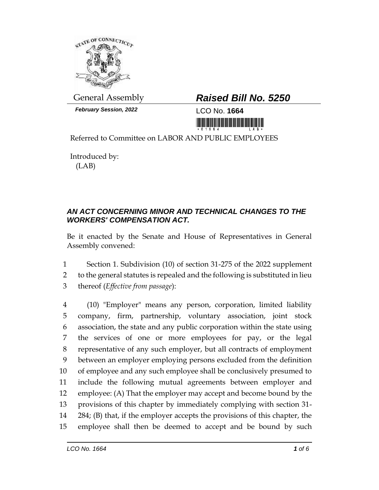

*February Session, 2022* LCO No. **1664**

## General Assembly *Raised Bill No. 5250*

<u>in hithin human manifestin</u>

Referred to Committee on LABOR AND PUBLIC EMPLOYEES

Introduced by: (LAB)

## *AN ACT CONCERNING MINOR AND TECHNICAL CHANGES TO THE WORKERS' COMPENSATION ACT.*

Be it enacted by the Senate and House of Representatives in General Assembly convened:

1 Section 1. Subdivision (10) of section 31-275 of the 2022 supplement 2 to the general statutes is repealed and the following is substituted in lieu 3 thereof (*Effective from passage*):

 (10) "Employer" means any person, corporation, limited liability company, firm, partnership, voluntary association, joint stock association, the state and any public corporation within the state using the services of one or more employees for pay, or the legal representative of any such employer, but all contracts of employment between an employer employing persons excluded from the definition of employee and any such employee shall be conclusively presumed to include the following mutual agreements between employer and employee: (A) That the employer may accept and become bound by the provisions of this chapter by immediately complying with section 31- 284; (B) that, if the employer accepts the provisions of this chapter, the employee shall then be deemed to accept and be bound by such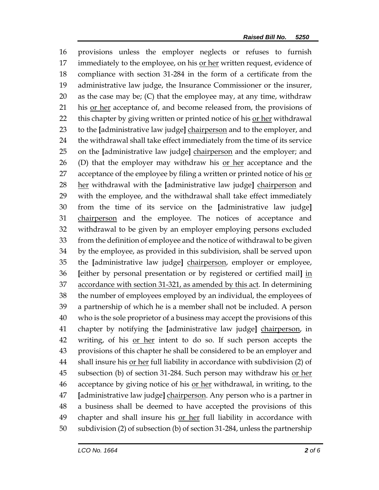provisions unless the employer neglects or refuses to furnish immediately to the employee, on his or her written request, evidence of compliance with section 31-284 in the form of a certificate from the administrative law judge, the Insurance Commissioner or the insurer, 20 as the case may be; (C) that the employee may, at any time, withdraw his or her acceptance of, and become released from, the provisions of 22 this chapter by giving written or printed notice of his or her withdrawal to the **[**administrative law judge**]** chairperson and to the employer, and the withdrawal shall take effect immediately from the time of its service on the **[**administrative law judge**]** chairperson and the employer; and 26 (D) that the employer may withdraw his  $or her$  acceptance and the</u> acceptance of the employee by filing a written or printed notice of his or her withdrawal with the **[**administrative law judge**]** chairperson and with the employee, and the withdrawal shall take effect immediately from the time of its service on the **[**administrative law judge**]** 31 chairperson and the employee. The notices of acceptance and withdrawal to be given by an employer employing persons excluded from the definition of employee and the notice of withdrawal to be given by the employee, as provided in this subdivision, shall be served upon the **[**administrative law judge**]** chairperson, employer or employee, **[**either by personal presentation or by registered or certified mail**]** in accordance with section 31-321, as amended by this act. In determining the number of employees employed by an individual, the employees of a partnership of which he is a member shall not be included. A person who is the sole proprietor of a business may accept the provisions of this chapter by notifying the **[**administrative law judge**]** chairperson, in writing, of his or her intent to do so. If such person accepts the provisions of this chapter he shall be considered to be an employer and 44 shall insure his or her full liability in accordance with subdivision (2) of 45 subsection (b) of section 31-284. Such person may withdraw his <u>or her</u> 46 acceptance by giving notice of his <u>or her</u> withdrawal, in writing, to the **[**administrative law judge**]** chairperson. Any person who is a partner in a business shall be deemed to have accepted the provisions of this 49 chapter and shall insure his or her full liability in accordance with subdivision (2) of subsection (b) of section 31-284, unless the partnership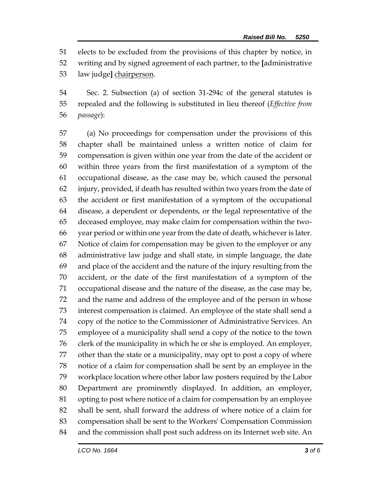elects to be excluded from the provisions of this chapter by notice, in

writing and by signed agreement of each partner, to the **[**administrative

law judge**]** chairperson.

 Sec. 2. Subsection (a) of section 31-294c of the general statutes is repealed and the following is substituted in lieu thereof (*Effective from passage*):

 (a) No proceedings for compensation under the provisions of this chapter shall be maintained unless a written notice of claim for compensation is given within one year from the date of the accident or within three years from the first manifestation of a symptom of the occupational disease, as the case may be, which caused the personal injury, provided, if death has resulted within two years from the date of the accident or first manifestation of a symptom of the occupational disease, a dependent or dependents, or the legal representative of the deceased employee, may make claim for compensation within the two- year period or within one year from the date of death, whichever is later. Notice of claim for compensation may be given to the employer or any administrative law judge and shall state, in simple language, the date and place of the accident and the nature of the injury resulting from the accident, or the date of the first manifestation of a symptom of the occupational disease and the nature of the disease, as the case may be, and the name and address of the employee and of the person in whose interest compensation is claimed. An employee of the state shall send a copy of the notice to the Commissioner of Administrative Services. An employee of a municipality shall send a copy of the notice to the town clerk of the municipality in which he or she is employed. An employer, other than the state or a municipality, may opt to post a copy of where notice of a claim for compensation shall be sent by an employee in the workplace location where other labor law posters required by the Labor Department are prominently displayed. In addition, an employer, opting to post where notice of a claim for compensation by an employee shall be sent, shall forward the address of where notice of a claim for compensation shall be sent to the Workers' Compensation Commission and the commission shall post such address on its Internet web site. An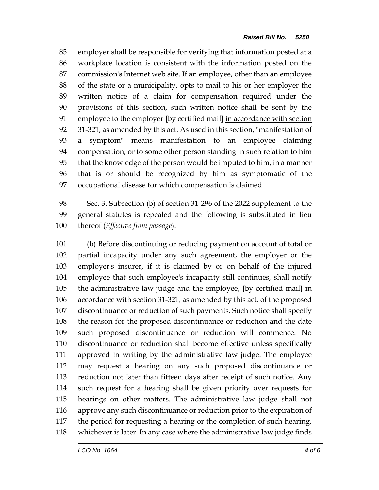employer shall be responsible for verifying that information posted at a workplace location is consistent with the information posted on the commission's Internet web site. If an employee, other than an employee of the state or a municipality, opts to mail to his or her employer the written notice of a claim for compensation required under the provisions of this section, such written notice shall be sent by the employee to the employer **[**by certified mail**]** in accordance with section 92 31-321, as amended by this act. As used in this section, "manifestation of a symptom" means manifestation to an employee claiming compensation, or to some other person standing in such relation to him that the knowledge of the person would be imputed to him, in a manner that is or should be recognized by him as symptomatic of the occupational disease for which compensation is claimed.

 Sec. 3. Subsection (b) of section 31-296 of the 2022 supplement to the general statutes is repealed and the following is substituted in lieu thereof (*Effective from passage*):

 (b) Before discontinuing or reducing payment on account of total or partial incapacity under any such agreement, the employer or the employer's insurer, if it is claimed by or on behalf of the injured employee that such employee's incapacity still continues, shall notify the administrative law judge and the employee, **[**by certified mail**]** in accordance with section 31-321, as amended by this act, of the proposed discontinuance or reduction of such payments. Such notice shall specify the reason for the proposed discontinuance or reduction and the date such proposed discontinuance or reduction will commence. No discontinuance or reduction shall become effective unless specifically approved in writing by the administrative law judge. The employee may request a hearing on any such proposed discontinuance or reduction not later than fifteen days after receipt of such notice. Any such request for a hearing shall be given priority over requests for hearings on other matters. The administrative law judge shall not approve any such discontinuance or reduction prior to the expiration of the period for requesting a hearing or the completion of such hearing, whichever is later. In any case where the administrative law judge finds